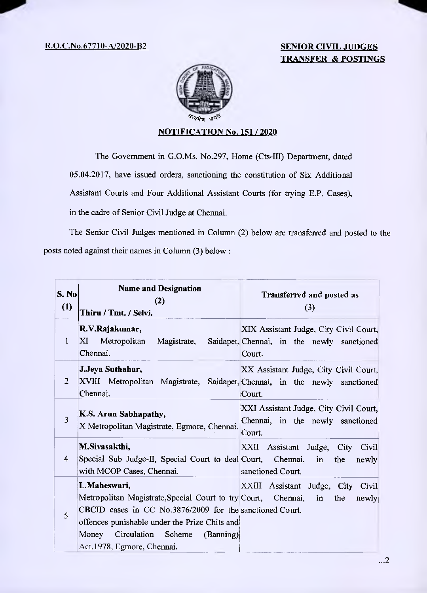## 12.0.C.No.67710-A/2020-B2 **SENIOR CIVIL JUDGES TRANSFER & POSTINGS**



## **NOTIFICATION No. 151 / 2020**

The Government in G.O.Ms. No.297, Home (Cts-III) Department, dated 05.04.2017, have issued orders, sanctioning the constitution of Six Additional Assistant Courts and Four Additional Assistant Courts (for trying E.P. Cases), in the cadre of Senior Civil Judge at Chennai.

The Senior Civil Judges mentioned in Column (2) below are transferred and posted to the posts noted against their names in Column (3) below:

| S. No<br>(1) | <b>Name and Designation</b><br>(2)<br>Thiru / Tmt. / Selvi.                                                                                                                                                                                                           | <b>Transferred and posted as</b><br>(3)                                                        |
|--------------|-----------------------------------------------------------------------------------------------------------------------------------------------------------------------------------------------------------------------------------------------------------------------|------------------------------------------------------------------------------------------------|
| $\mathbf{1}$ | R.V.Rajakumar,<br>XI Metropolitan Magistrate,<br>Chennai.                                                                                                                                                                                                             | XIX Assistant Judge, City Civil Court,<br>Saidapet, Chennai, in the newly sanctioned<br>Court. |
| 2            | J.Jeya Suthahar,<br>XVIII Metropolitan Magistrate, Saidapet, Chennai, in the newly sanctioned<br>Chennai.                                                                                                                                                             | XX Assistant Judge, City Civil Court,<br>Court.                                                |
| 3            | K.S. Arun Sabhapathy,<br>X Metropolitan Magistrate, Egmore, Chennai.                                                                                                                                                                                                  | XXI Assistant Judge, City Civil Court,<br>Chennai, in the newly sanctioned<br>Court.           |
| 4            | M.Sivasakthi,<br>Special Sub Judge-II, Special Court to deal Court, Chennai,<br>with MCOP Cases, Chennai.                                                                                                                                                             | XXII Assistant Judge, City Civil<br>in<br>the<br>newly<br>sanctioned Court.                    |
| 5            | L.Maheswari,<br>Metropolitan Magistrate, Special Court to try Court, Chennai,<br>CBCID cases in CC No.3876/2009 for the sanctioned Court.<br>offences punishable under the Prize Chits and<br>Circulation Scheme<br>Money<br>(Banning)<br>Act, 1978, Egmore, Chennai. | XXIII Assistant Judge, City<br>Civil<br>the<br>$\mathbf{in}$<br>newly                          |